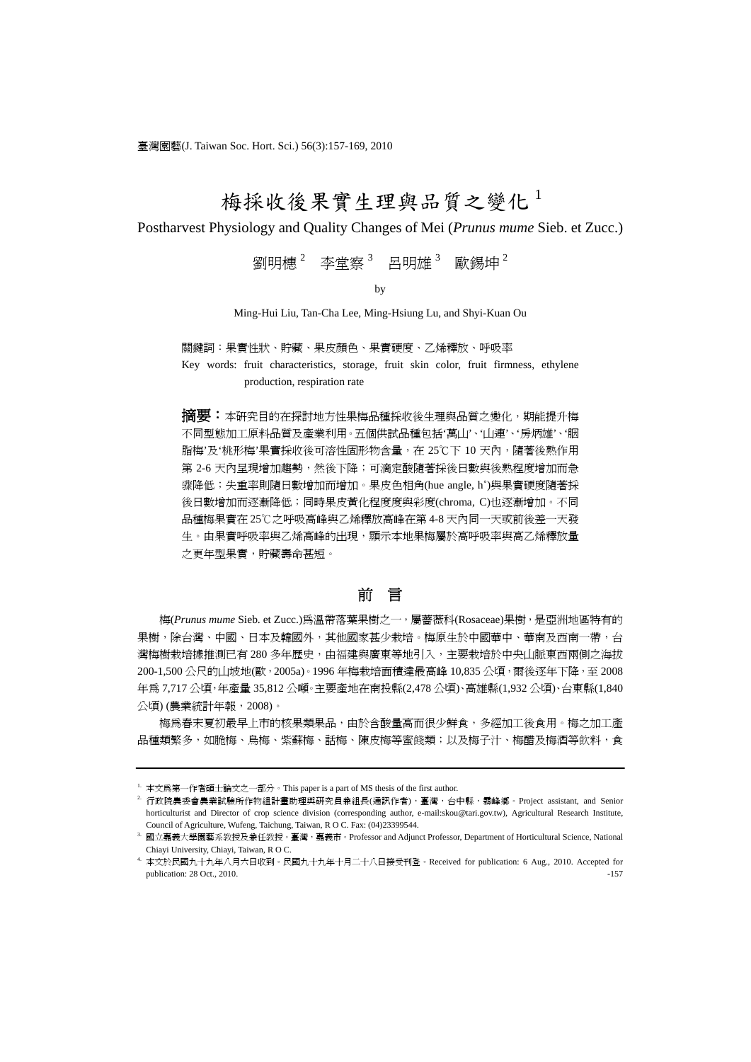臺灣園藝(J. Taiwan Soc. Hort. Sci.) 56(3):157-169, 2010

# 梅採收後果實生理與品質之變化

Postharvest Physiology and Quality Changes of Mei (*Prunus mume* Sieb. et Zucc.)

劉明橞 $^2$  李堂察 $^3$  呂明雄 $^3$  歐錫坤 $^2$ 

by

Ming-Hui Liu, Tan-Cha Lee, Ming-Hsiung Lu, and Shyi-Kuan Ou

關鍵詞:果實性狀、貯藏、果皮顏色、果實硬度、乙烯釋放、呼吸率 Key words: fruit characteristics, storage, fruit skin color, fruit firmness, ethylene

production, respiration rate

**摘要:**本研究目的在探討地方性果梅品種採收後生理與品質之變化,期能提升梅 不同型態加工原料品質及產業利用。五個供試品種包括'萬山'、'山連'、'房炳雄'、'胭 脂梅'及'桃形梅'果實採收後可溶性固形物含量,在 25℃下 10 天內,隨著後熟作用 第 2-6 天內呈現增加趨勢,然後下降;可滴定酸隨著採後日數與後熟程度增加而急 骤降低;失重率則隨日數增加而增加。果皮色相角(hue angle, h˚)與果實硬度隨著採 後日數增加而逐漸降低;同時果皮黃化程度度與彩度(chroma, C)也逐漸增加。不同 品種梅果實在 25℃之呼吸高峰與乙烯釋放高峰在第 4-8 天內同一天或前後差一天發 生。由果實呼吸率與乙烯高峰的出現,顯示本地果梅屬於高呼吸率與高乙烯釋放量 之更年型果實,貯藏壽命甚短。

## 前言

梅(*Prunus mume* Sieb. et Zucc.)為溫帶落葉果樹之一,屬薔薇科(Rosaceae)果樹,是亞洲地區特有的 果樹,除台灣、中國、日本及韓國外,其他國家甚少栽培。梅原生於中國華中、華南及西南一帶,台 灣梅樹栽培據推測已有 280 多年歷史,由福建與廣東等地引入,主要栽培於中央山脈東西兩側之海拔 200-1,500 公尺的山坡地(歐, 2005a)。1996 年梅栽培面積達最高峰 10,835 公頃, 爾後逐年下降, 至 2008 年為 7,717 公頃,年產量 35,812 公噸。主要產地在南投縣(2,478 公頃)、高雄縣(1,932 公頃)、台東縣(1,840 公頃) (農業統計年報,2008)。

梅為春末夏初最早上市的核果類果品,由於含酸量高而很少鮮食,多經加工後食用。梅之加工產 品種類繁多,如脆梅、烏梅、紫蘇梅、話梅、陳皮梅等蜜餞類;以及梅子汁、梅醋及梅酒等飲料,食

 $^{\rm L}$  本文爲第一作者碩士論文之一部分。This paper is a part of MS thesis of the first author.<br>2. 行政院農委會農業試驗所作物組計畫助理與研究員兼組長(通訊作者), 臺灣, 台中縣,霧峰鄉。Project assistant, and Senior horticulturist and Director of crop science division (corresponding author, e-mail:skou@tari.gov.tw), Agricultural Research Institute, Council of Agriculture, Wufeng, Taichung, Taiwan, R O C. Fax: (04)23399544. 3. Maximum of Horticultural Science, National 3. 国立嘉義大學園藝系教授及兼任教授。臺灣,嘉義市。Professor and Adjunct Professor, Department of Horticultural Science, Na

Chiayi University, Chiayi, Taiwan, R O C.

<sup>4.</sup> 本文於民國九十九年八月六日收到。民國九十九年十月二十八日接受刊登。Received for publication: 6 Aug., 2010. Accepted for publication: 28 Oct., 2010. -157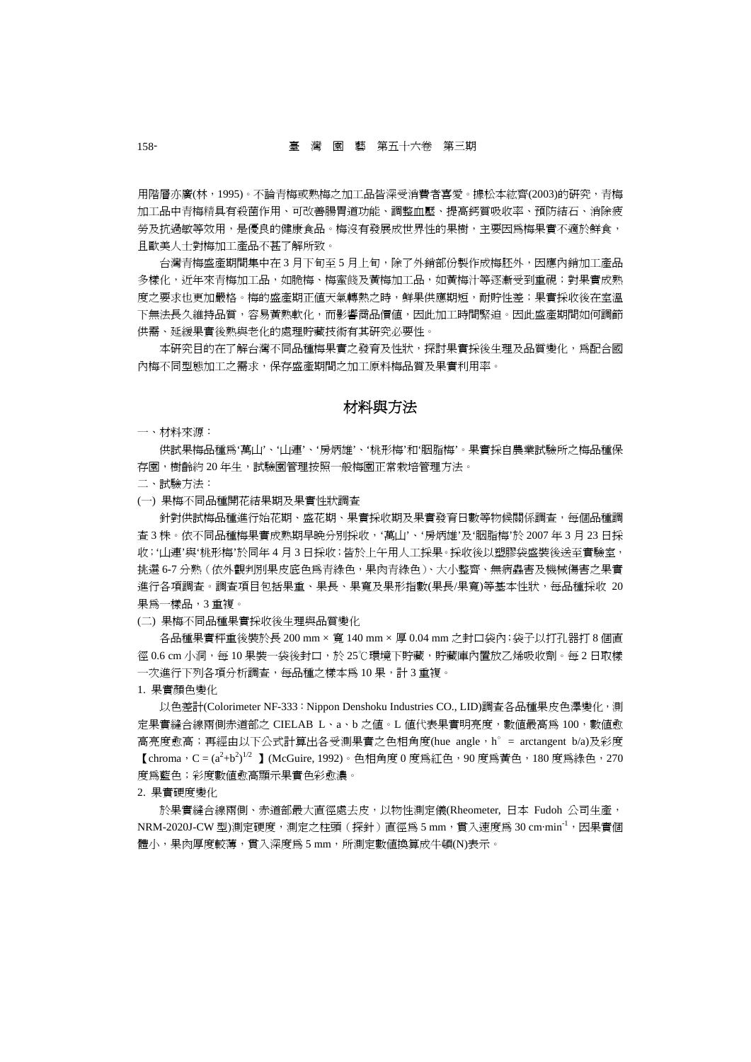用階層亦廣(林,1995)。不論青梅或熟梅之加工品皆深受消費者喜愛。據松本紘齊(2003)的研究,青梅 加工品中青梅精具有殺菌作用、可改善腸胃道功能、調整血壓、提高鈣質吸收率、預防結石、消除疲 勞及抗過敏等效用,是優良的健康食品。梅沒有發展成世界性的果樹,主要因為梅果實不適於鮮食, 且歐美人士對梅加工產品不甚了解所致。

台灣青梅盛產期間集中在 3 月下旬至 5 月上旬,除了外銷部份製作成梅胚外,因應內銷加工產品 多樣化,近年來青梅加工品,如脆梅、梅蜜餞及黃梅加工品,如黃梅汁等逐漸受到重視;對果實成熟 度之要求也更加嚴格。梅的盛產期正值天氣轉熱之時,鮮果供應期短,耐貯性差;果實採收後在室溫 下無法長久維持品質,容易黃熟軟化,而影響商品價值,因此加工時間緊迫。因此盛產期間如何調節 供需、延緩果實後熟與老化的處理貯藏技術有其研究必要性。

本研究目的在了解台灣不同品種梅果實之發育及性狀,探討果實採後生理及品質變化,爲配合國 內梅不同型態加工之需求,保存盛產期間之加工原料梅品質及果實利用率。

# 材料與方法

一、材料來源:

供試果梅品種為'萬山'、'山連'、'房炳雄'、'桃形梅'和'胭脂梅'。果實採自農業試驗所之梅品種保 存園,樹齡約 20 年生,試驗園管理按照一般梅園正常栽培管理方法。

二、試驗方法:

(一) 果梅不同品種開花結果期及果實性狀調查

針對供試梅品種進行始花期、盛花期、果實採收期及果實發育日數等物候關係調查,每個品種調 查 3 株。依不同品種梅果實成熟期早晚分別採收,'萬山'、'房炳雄'及'胭脂梅'於 2007 年 3 月 23 日採 收;'山連'與'桃形梅'於同年 4 月 3 日採收;皆於上午用人工採果。採收後以塑膠袋盛裝後送至實驗室, 挑選 6-7 分熟(依外觀判別果皮底色為青綠色,果肉青綠色)、大小整齊、無病蟲害及機械傷害之果實 進行各項調査。調査項目包括果重、果長、果寬及果形指數(果長/果寬)等基本性狀,每品種採收 20 果為一樣品,3 重複。

(二) 果梅不同品種果實採收後生理與品質變化

各品種果實秤重後裝於長 200 mm × 寬 140 mm × 厚 0.04 mm 之封口袋內;袋子以打孔器打 8 個直 徑 0.6 cm 小洞,每 10 果裝一袋後封口,於 25℃環境下貯藏,貯藏庫內置放乙烯吸收劑。每 2 日取樣 一次進行下列各項分析調查,每品種之樣本為 10 果,計 3 重複。

1. 果實顏色變化

以色差計(Colorimeter NF-333: Nippon Denshoku Industries CO., LID)調査各品種果皮色澤變化, 測 定果實縫合線兩側赤道部之 CIELAB L、a、b 之値。L 値代表果實明亮度,數値最高為 100,數值愈 高亮度愈高;再經由以下公式計算出各受測果實之色相角度(hue angle,h ° = arctangent b/a)及彩度 【chroma,C =  $(a^2+b^2)^{1/2}$  】(McGuire, 1992)。色相角度 0 度為紅色,90 度為黃色,180 度為綠色,270 度為藍色;彩度數值愈高顯示果實色彩愈濃。

#### 2. 果實硬度變化

於果實縫合線兩側、赤道部最大直徑處去皮,以物性測定儀(Rheometer, 日本 Fudoh 公司生產, NRM-2020J-CW 型)測定硬度,測定之柱頭(探針)直徑為 5 mm, 貫入速度為 30 cm·min-1, 因果實個 體小,果肉厚度較薄,貫入深度爲 5 mm,所測定數值換算成牛頓(N)表示。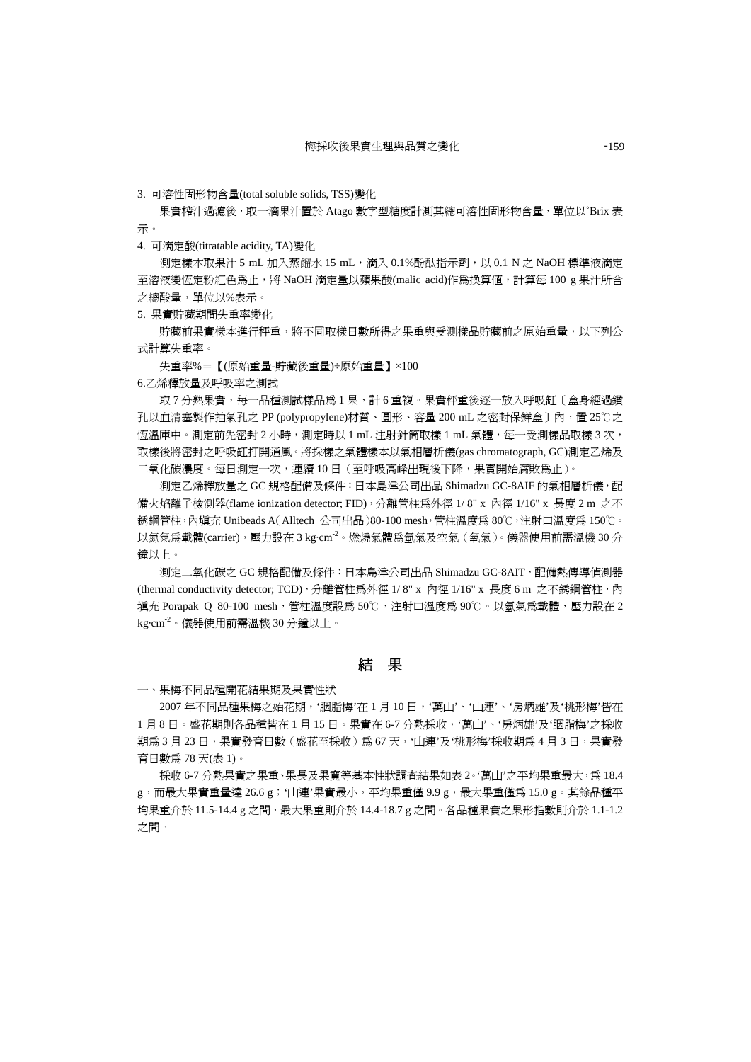3. 可溶性固形物含量(total soluble solids, TSS)變化

果實榨汁過濾後,取一滴果汁置於 Atago 數字型糖度計測其總可溶性固形物含量,單位以°Brix 表 示。

4. 可滴定酸(titratable acidity, TA)變化

測定樣本取果汁 5 mL 加入蒸餾水 15 mL,滴入 0.1%酚酞指示劑,以 0.1 N 之 NaOH 標準液滴定 至溶液變恆定粉紅色為止,將 NaOH 滴定量以蘋果酸(malic acid)作為換算值,計算每 100 g 果汁所含 之總酸量,單位以%表示。

5. 果實貯藏期間失重率變化

貯藏前果實樣本進行秤重,將不同取樣日數所得之果重與受測樣品貯藏前之原始重量,以下列公 式計算失重率。

失重率%=【(原始重量-貯藏後重量)÷原始重量】×100

6.乙烯釋放量及呼吸率之測試

取7分熟果實,每一品種測試樣品為 1 果,計 6 重複。果實秤重後逐一放入呼吸缸 [ 盒身經過鑽 孔以血清塞製作抽氣孔之 PP (polypropylene)材質、圓形、容量 200 mL 之密封保鮮盒〕內,置 25℃之 恆溫庫中。測定前先密封 2 小時,測定時以 1 mL 注射針筒取樣 1 mL 氣體,每一受測樣品取樣 3 次, 取樣後將密封之呼吸缸打開通風。將採樣之氣體樣本以氣相層析儀(gas chromatograph, GC)測定乙烯及 二氧化碳濃度。每日測定一次,連續 10 日 (至呼吸高峰出現後下降,果實開始腐敗為止)。

測定乙烯釋放量之 GC 規格配備及條件:日本島津公司出品 Shimadzu GC-8AIF 的氣相層析儀,配 備火焰離子檢測器(flame ionization detector; FID),分離管柱為外徑 1/ 8" x 內徑 1/16" x 長度 2 m 之不 銹鋼管柱,內填充 Unibeads A(Alltech 公司出品)80-100 mesh,管柱溫度為 80℃,注射口溫度為 150℃。  $\nu$ 氮氣爲載體(carrier),壓力設在 3 kg·cm<sup>-2</sup>。燃燒氣體爲氫氣及空氣(氧氣)。儀器使用前需溫機 30分 鐘以上。

測定二氧化碳之 GC 規格配備及條件:日本島津公司出品 Shimadzu GC-8AIT,配備熱傳導偵測器 (thermal conductivity detector; TCD),分離管柱為外徑 1/8" x 內徑 1/16" x 長度 6 m 之不銹鋼管柱,內 填充 Porapak Q 80-100 mesh,管柱溫度設為 50℃, 注射口溫度為 90℃。以氫氣爲載體, 壓力設在 2 kg·cm $^2$ 。儀器使用前需溫機 30分鐘以上。

結果

一、果梅不同品種開花結果期及果實性狀

2007 年不同品種果梅之始花期,'胭脂梅'在 1 月 10 日,'萬山'、'山連'、'房炳雄'及'桃形梅'皆在 1月8日。盛花期則各品種皆在 1 月 15 日。果實在 6-7 分熟採收,'萬山'、'房炳雄'及'胭脂梅'之採收 期為 3月 23日, 果實發育日數 (盛花至採收)為 67天, '山連'及'桃形梅'採收期為 4月 3日, 果實發 育日數為 78 天(表 1)。

採收 6-7 分熟果實之果重、果長及果寬等基本性狀調査結果如表 2。'萬山'之平均果重最大,為 18.4 g,而最大果實重量達 26.6 g; '山連'果實最小,平均果重僅 9.9 g,最大果重僅爲 15.0 g。其餘品種平 均果重介於 11.5-14.4 g 之間,最大果重則介於 14.4-18.7 g 之間。各品種果實之果形指數則介於 1.1-1.2 之間。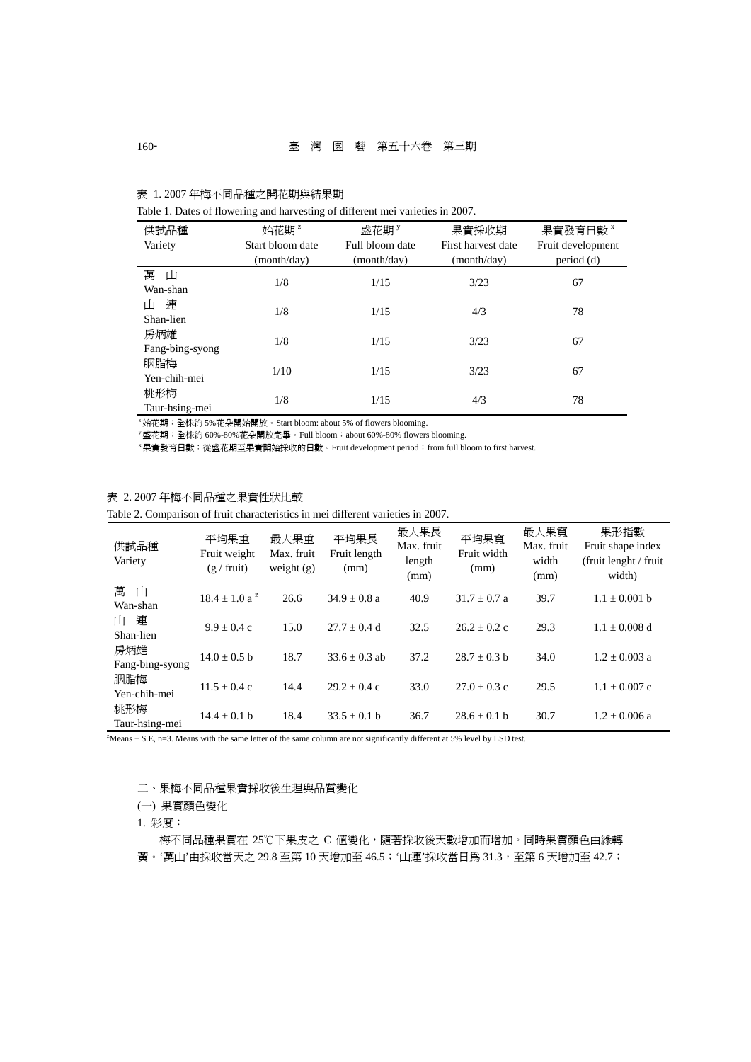| 供試品種<br>Variety        | 始花期 <sup>z</sup><br>Start bloom date<br>(month/day) | 盛花期 <sup>y</sup><br>Full bloom date<br>(month/day) | 果實採收期<br>First harvest date<br>(month/day) | 果實發育日數 ×<br>Fruit development<br>period (d) |
|------------------------|-----------------------------------------------------|----------------------------------------------------|--------------------------------------------|---------------------------------------------|
| 萬<br>Ш<br>Wan-shan     | 1/8                                                 | 1/15                                               | 3/23                                       | 67                                          |
| 連<br>Ш<br>Shan-lien    | 1/8                                                 | 1/15                                               | 4/3                                        | 78                                          |
| 房炳雄<br>Fang-bing-syong | 1/8                                                 | 1/15                                               | 3/23                                       | 67                                          |
| 胭脂梅<br>Yen-chih-mei    | 1/10                                                | 1/15                                               | 3/23                                       | 67                                          |
| 桃形梅<br>Taur-hsing-mei  | 1/8                                                 | 1/15                                               | 4/3                                        | 78                                          |

表 1. 2007 年梅不同品種之開花期與結果期

Table 1. Dates of flowering and harvesting of different mei varieties in 2007.

 $^{\text{z}}$ 始花期:全株約 5%花朵開始開放。Start bloom: about 5% of flowers blooming.<br><sup>y</sup> 盛花期:全株約 60%-80%花朵開放完畢。Full bloom:about 60%-80% flowers blooming.

<sup>x</sup> 果實發育日數:從盛花期至果實開始採收的日數。Fruit development period:from full bloom to first harvest.

## 表 2. 2007 年梅不同品種之果實性狀比較

Table 2. Comparison of fruit characteristics in mei different varieties in 2007.

| 供試品種<br>Variety        | 平均果重<br>Fruit weight<br>$(g / \text{fruit})$ | 最大果重<br>Max. fruit<br>weight $(g)$ | 平均果長<br>Fruit length<br>(mm) | 最大果長<br>Max. fruit<br>length<br>(mm) | 平均果寬<br>Fruit width<br>(mm) | 最大果寬<br>Max. fruit<br>width<br>(mm) | 果形指數<br>Fruit shape index<br>(fruit lenght / fruit)<br>width) |
|------------------------|----------------------------------------------|------------------------------------|------------------------------|--------------------------------------|-----------------------------|-------------------------------------|---------------------------------------------------------------|
| 萬<br>山<br>Wan-shan     | $18.4 \pm 1.0$ a <sup>z</sup>                | 26.6                               | $34.9 + 0.8a$                | 40.9                                 | $31.7 + 0.7 a$              | 39.7                                | $1.1 \pm 0.001$ b                                             |
| 連<br>Ш<br>Shan-lien    | $9.9 + 0.4c$                                 | 15.0                               | $27.7 + 0.4$ d               | 32.5                                 | $26.2 \pm 0.2$ c            | 29.3                                | $1.1 + 0.008$ d                                               |
| 房炳雄<br>Fang-bing-syong | $14.0 + 0.5 h$                               | 18.7                               | $33.6 + 0.3$ ab              | 37.2                                 | $28.7 + 0.3$ b              | 34.0                                | $1.2 + 0.003$ a                                               |
| 胭脂梅<br>Yen-chih-mei    | $11.5 \pm 0.4$ c                             | 14.4                               | $29.2 + 0.4c$                | 33.0                                 | $27.0 + 0.3$ c              | 29.5                                | $1.1 + 0.007$ c                                               |
| 桃形梅<br>Taur-hsing-mei  | $14.4 + 0.1 h$                               | 18.4                               | $33.5 \pm 0.1$ b             | 36.7                                 | $28.6 + 0.1 h$              | 30.7                                | $1.2 + 0.006$ a                                               |

z Means ± S.E, n=3. Means with the same letter of the same column are not significantly different at 5% level by LSD test.

## 二、果梅不同品種果實採收後生理與品質變化

(一) 果實顏色變化

1. 彩度:

梅不同品種果實在 25℃下果皮之 C 值變化,隨著採收後天數增加而增加。同時果實顏色由綠轉

黃。'萬山'由採收當天之 29.8 至第 10 天增加至 46.5;'山連'採收當日為 31.3,至第 6 天增加至 42.7;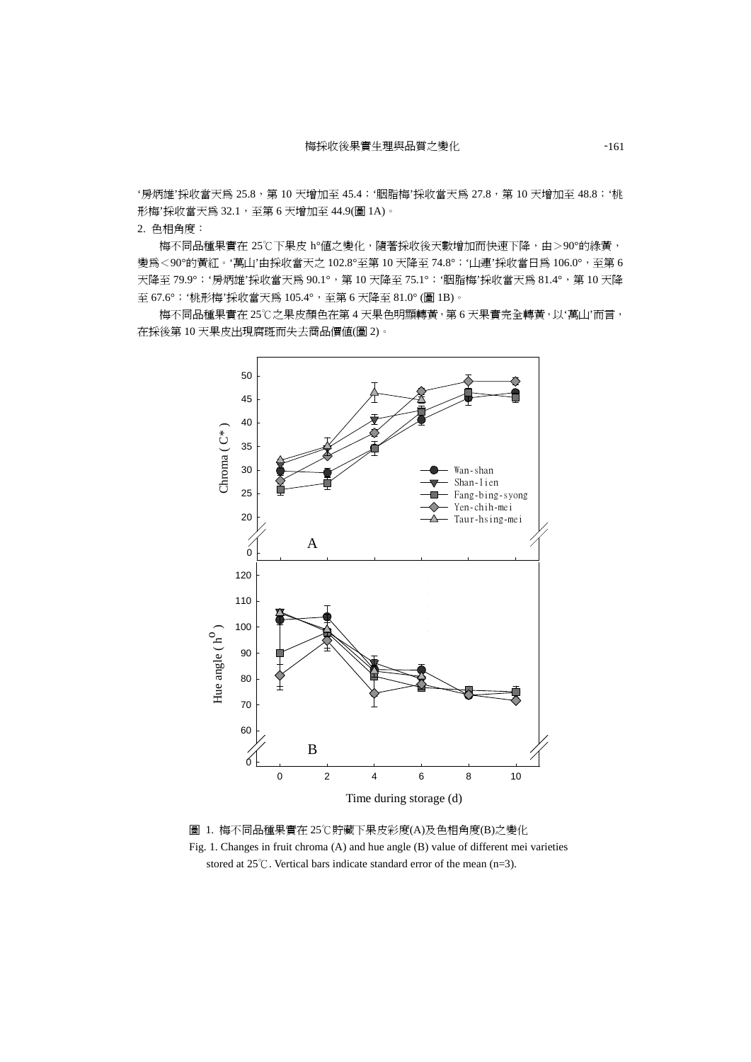'房炳雄'採收當天爲 25.8,第 10 天增加至 45.4;'胭脂梅'採收當天爲 27.8,第 10 天增加至 48.8;'桃 形梅'採收當天為 32.1, 至第 6 天增加至 44.9(圖 1A)。

2. 色相角度:

梅不同品種果實在 25℃下果皮 h°值之變化,隨著採收後天數增加而快速下降,由>90°的綠黃, 變為<90°的黃紅。'萬山'由採收當天之 102.8°至第 10 天降至 74.8°;'山連'採收當日爲 106.0°,至第 6 天降至 79.9°; '房炳雄'採收當天爲 90.1°, 第 10 天降至 75.1°; '胭脂梅'採收當天爲 81.4°, 第 10 天降 至 67.6°;'桃形梅'採收當天為 105.4°,至第 6 天降至 81.0° (圖 1B)。

梅不同品種果實在 25℃之果皮顏色在第 4 天果色明顯轉黃,第 6 天果實完全轉黃,以'萬山'而言, 在採後第 10 天果皮出現腐斑而失去商品價值(圖 2)。



圖 1. 梅不同品種果實在 25℃貯藏下果皮彩度(A)及色相角度(B)之變化 Fig. 1. Changes in fruit chroma (A) and hue angle (B) value of different mei varieties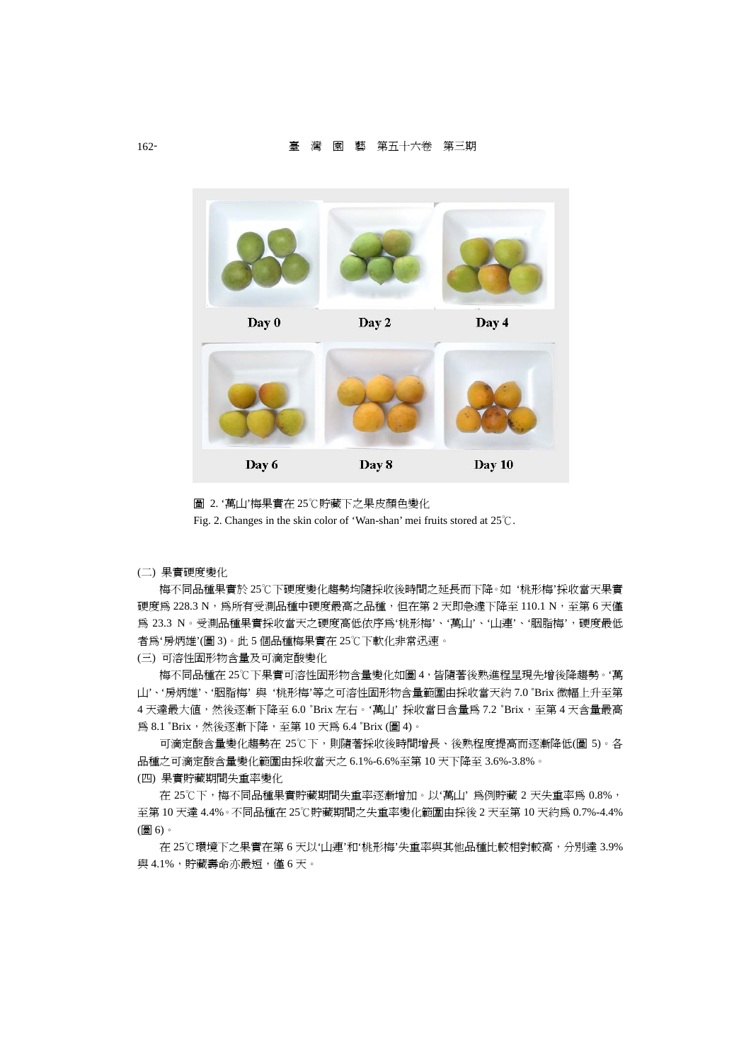

圖 2. '萬山'梅果實在 25℃貯藏下之果皮顏色變化

Fig. 2. Changes in the skin color of 'Wan-shan' mei fruits stored at  $25^{\circ}$ C.

(二) 果實硬度變化

梅不同品種果實於 25℃下硬度變化趨勢均隨採收後時間之延長而下降。如 '桃形梅'採收當天果實 硬度為 228.3 N,為所有受測品種中硬度最高之品種,但在第 2 天即急遽下降至 110.1 N,至第 6 天僅 為 23.3 N。受測品種果實採收當天之硬度高低依序為'桃形梅'、'萬山'、'山連'、'胭脂梅',硬度最低 者為'房炳雄'(圖 3)。此 5 個品種梅果實在 25℃下軟化非常迅速。

(三) 可溶性固形物含量及可滴定酸變化

梅不同品種在 25℃下果實可溶性固形物含量變化如圖 4,皆隨著後熟進程呈現先增後降趨勢。'萬 山'、'房炳雄'、'胭脂梅' 與 '桃形梅'等之可溶性固形物含量範圍由採收當天約 7.0 ˚Brix 微幅上升至第 4 天達最大值,然後逐漸下降至 6.0 °Brix 左右。'萬山' 採收當日含量為 7.2 °Brix,至第 4 天含量最高 為 8.1 °Brix,然後逐漸下降,至第 10 天為 6.4 °Brix (圖 4)。

可滴定酸含量變化趨勢在 25℃下,則隨著採收後時間增長、後熟程度提高而逐漸降低(圖 5)。各 品種之可滴定酸含量變化範圍由採收當天之 6.1%-6.6%至第 10 天下降至 3.6%-3.8%。 (四) 果實貯藏期間失重率變化

在 25℃下,梅不同品種果實貯藏期間失重率逐漸增加。以'萬山' 為例貯藏 2 天失重率為 0.8%, 至第 10 天達 4.4%。不同品種在 25℃貯藏期間之失重率變化範圍由採後 2 天至第 10 天約為 0.7%-4.4% (圖 6)。

在 25℃環境下之果實在第 6 天以'山連'和'桃形梅'失重率與其他品種比較相對較高,分別達 3.9% 與 4.1%,貯藏壽命亦最短,僅 6 天。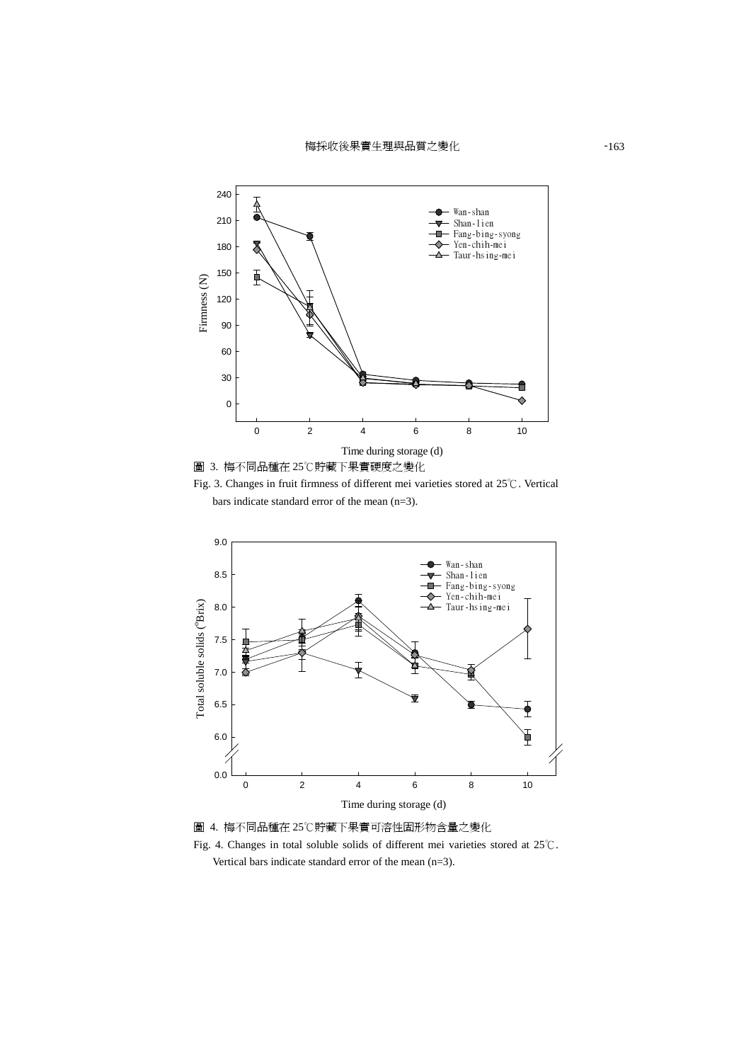梅採收後果實生理與品質之變化 -163







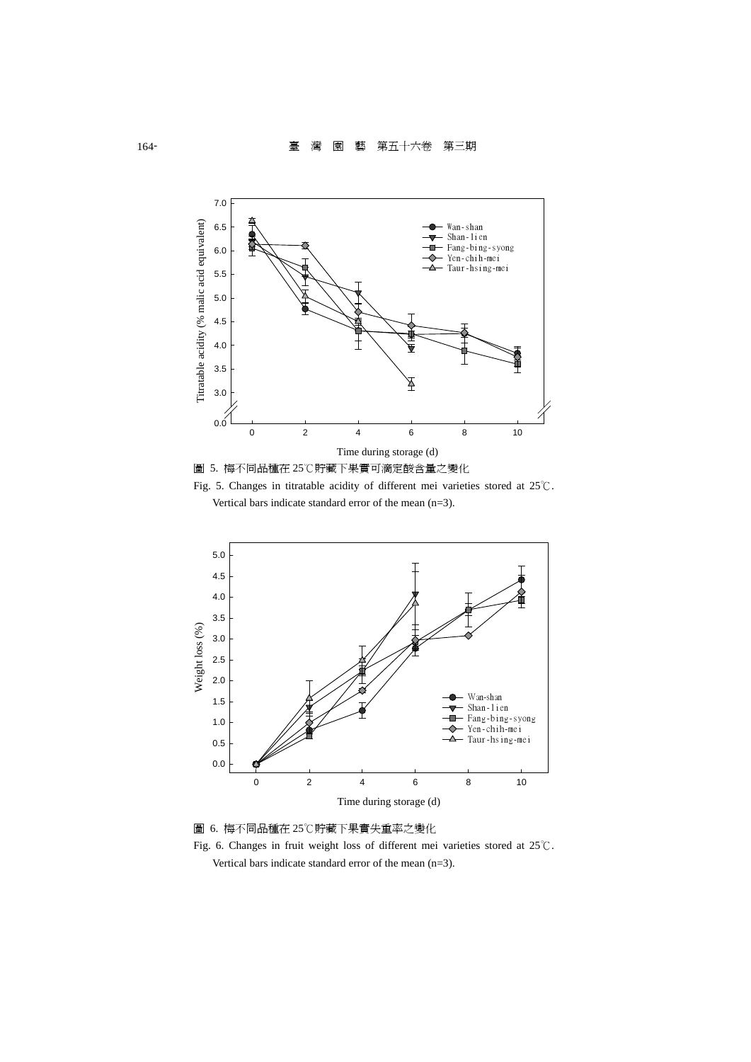

圖 5. 梅不同品種在 25℃貯藏下果實可滴定酸含量之變化 Fig. 5. Changes in titratable acidity of different mei varieties stored at  $25^{\circ}\textrm{C}$ .

Vertical bars indicate standard error of the mean (n=3).



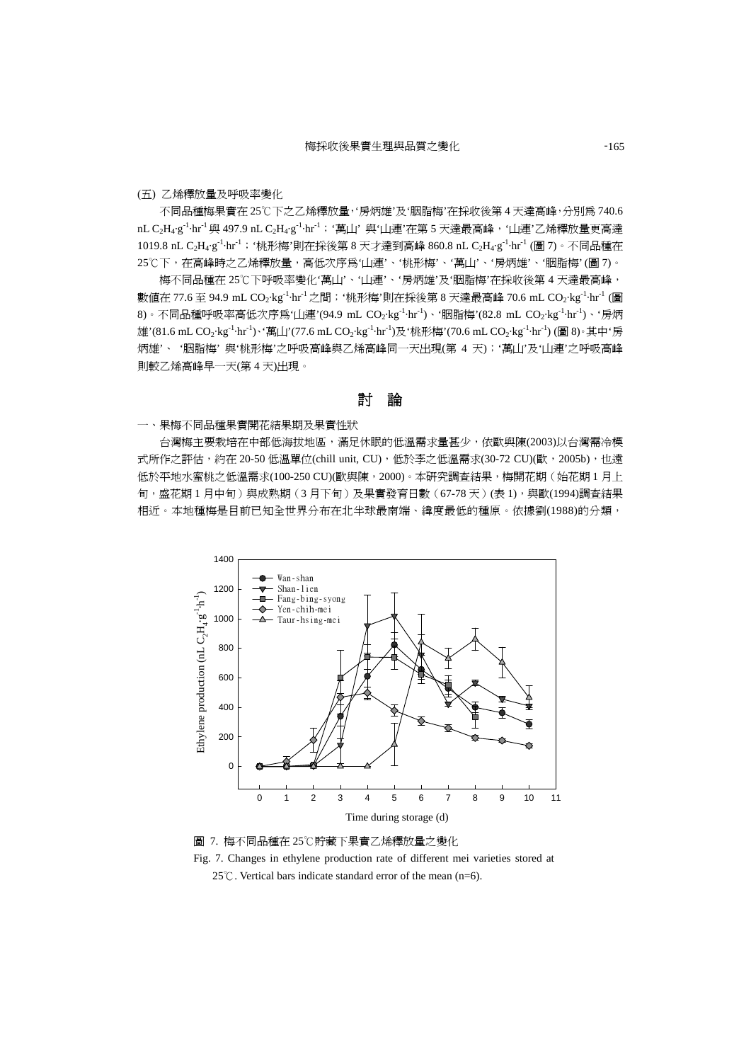#### (五) 乙烯釋放量及呼吸率變化

不同品種梅果實在 25℃下之乙烯釋放量,'房炳雄'及'胭脂梅'在採收後第 4 天達高峰,分別為 740.6 nL C<sub>2</sub>H<sub>4</sub>·g<sup>-1</sup>·hr<sup>-1</sup> 與 497.9 nL C<sub>2</sub>H<sub>4</sub>·g<sup>-1</sup>·hr<sup>-1</sup>;'萬山'與"山連'在第 5 天達最高峰,'山連'乙烯釋放量更高達 1019.8 nL C<sub>2</sub>H<sub>4</sub>·g<sup>-1</sup>·hr<sup>-1</sup>;'桃形梅'則在採後第 8 天才達到高峰 860.8 nL C<sub>2</sub>H<sub>4</sub>·g<sup>-1</sup>·hr<sup>-1</sup> (圖 7)。不同品種在 25℃下,在高峰時之乙烯釋放量,高低次序為'山連'、'桃形梅'、'萬山'、'房炳雄'、'胭脂梅' (圖 7)。

梅不同品種在 25℃下呼吸率變化'萬山'、'山連'、'房炳雄'及'胭脂梅'在採收後第 4 天達最高峰, 數值在 77.6 至 94.9 mL CO<sub>2</sub>·kg<sup>-1</sup>·hr<sup>-1</sup> 之間; '桃形梅'則在採後第 8 天達最高峰 70.6 mL CO<sub>2</sub>·kg<sup>-1</sup>·hr<sup>-1</sup> (圖 8)。不同品種呼吸率高低次序為'山連'(94.9 mL CO<sub>2</sub>·kg<sup>-1</sup>·hr<sup>-1</sup>)、'胭脂梅'(82.8 mL CO<sub>2</sub>·kg<sup>-1</sup>·hr<sup>-1</sup>)、'房炳 雄'(81.6 mL CO<sub>2</sub>·kg<sup>-1</sup>·hr<sup>-1</sup>)、第山'(77.6 mL CO<sub>2</sub>·kg<sup>-1</sup>·hr<sup>-1</sup>)及'桃形梅'(70.6 mL CO<sub>2</sub>·kg<sup>-1</sup>·hr<sup>-1</sup>) (圖 8)。其中'房 炳雄'、 '胭脂梅' 與'桃形梅'之呼吸高峰與乙烯高峰同一天出現(第 4 天);'萬山'及'山連'之呼吸高峰 則較乙烯高峰早一天(第 4 天)出現。

討論

#### 一、果梅不同品種果實開花結果期及果實性狀

 台灣梅主要栽培在中部低海拔地區,滿足休眠的低溫需求量甚少,依歐與陳(2003)以台灣需冷模 式所作之評估,約在 20-50 低溫單位(chill unit, CU), 低於李之低溫需求(30-72 CU)(歐, 2005b), 也遠 低於平地水蜜桃之低溫需求(100-250 CU)(歐與陳, 2000)。本研究調查結果,梅開花期(始花期1月上 旬,盛花期1月中旬)與成熟期(3月下旬)及果實發育日數(67-78天)(表1),與歐(1994)調查結果 相近。本地種梅是目前已知全世界分布在北半球最南端、緯度最低的種原。依據劉(1988)的分類,



圖 7. 梅不同品種在 25℃貯藏下果實乙烯釋放量之變化 Fig. 7. Changes in ethylene production rate of different mei varieties stored at 25°C. Vertical bars indicate standard error of the mean (n=6).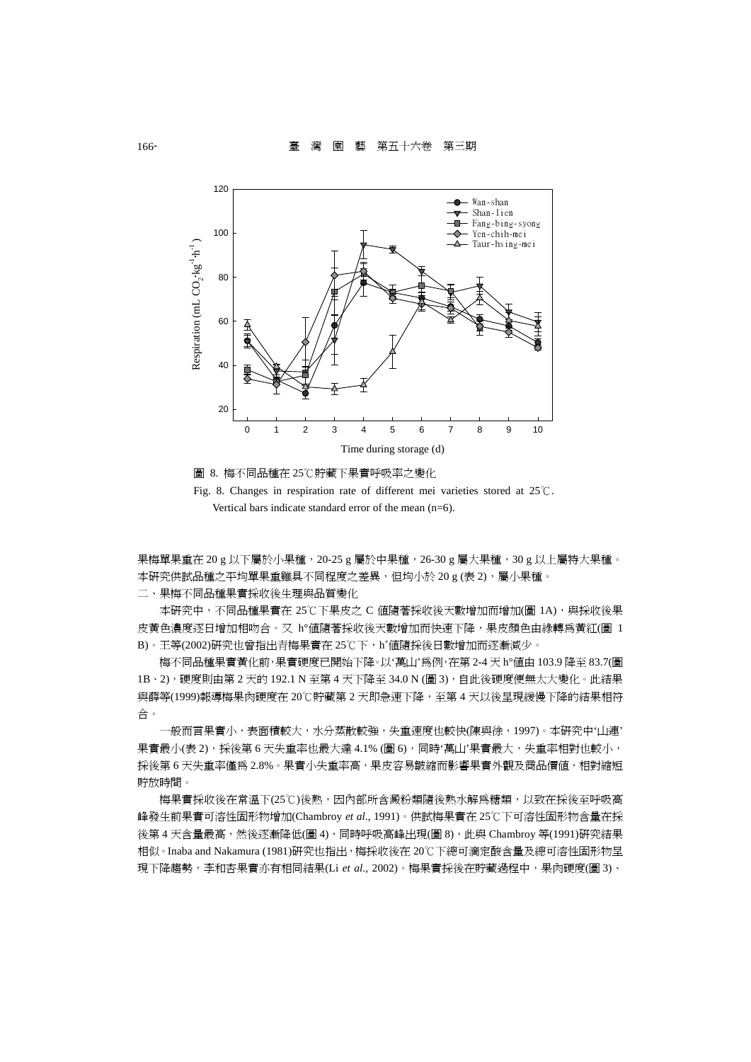



果梅單果重在 20 g 以下屬於小果種, 20-25 g 屬於中果種, 26-30 g 屬大果種, 30 g 以上屬特大果種。 本研究供試品種之平均單果重雖具不同程度之差異,但均小於 20 g (表 2),屬小果種。

二、果梅不同品種果實採收後生理與品質變化

本研究中,不同品種果實在 25℃下果皮之 C 值隨著採收後天數增加而增加(圖 1A),與採收後果 皮黃色濃度逐日增加相吻合。又 h°值隨著採收後天數增加而快速下降,果皮顏色由綠轉為黃紅(圖 1 B)。王等(2002)研究也曾指出青梅果實在 25℃下,h°值隨採後日數增加而逐漸減少。

梅不同品種果實黃化前,果實硬度已開始下降。以'萬山'為例,在第 2-4 天 h°值由 103.9 降至 83.7(圖 1B、2),硬度則由第 2 天的 192.1 N 至第 4 天下降至 34.0 N (圖 3), 自此後硬度便無太大變化。此結果 與薛等(1999)報導梅果肉硬度在 20℃貯藏第 2 天即急速下降,至第 4 天以後呈現緩慢下降的結果相符 合。

一般而言果實小,表面積較大,水分蒸散較強,失重速度也較快(陳與徐,1997)。本研究中'山連' 果實最小(表2),採後第6天失重率也最大達 4.1% (圖6),同時'萬山'果實最大,失重率相對也較小, 採後第6天失重率僅爲 2.8%。果實小失重率高,果皮容易皺縮而影響果實外觀及商品價值,相對縮短 貯放時間。

梅果實採收後在常溫下(25℃)後熟,因內部所含澱粉類隨後熟水解爲糖類,以致在採後至呼吸高 峰發生前果實可溶性固形物增加(Chambroy *et al*., 1991)。供試梅果實在 25℃下可溶性固形物含量在採 後第 4 天含量最高,然後逐漸降低(圖 4),同時呼吸高峰出現(圖 8), 此與 Chambroy 等(1991)研究結果 相似。Inaba and Nakamura (1981)研究也指出,梅採收後在20℃下總可滴定酸含量及總可溶性固形物呈 現下降趨勢,李和杏果實亦有相同結果(Li et al., 2002)。梅果實採後在貯藏過程中,果肉硬度(圖 3)、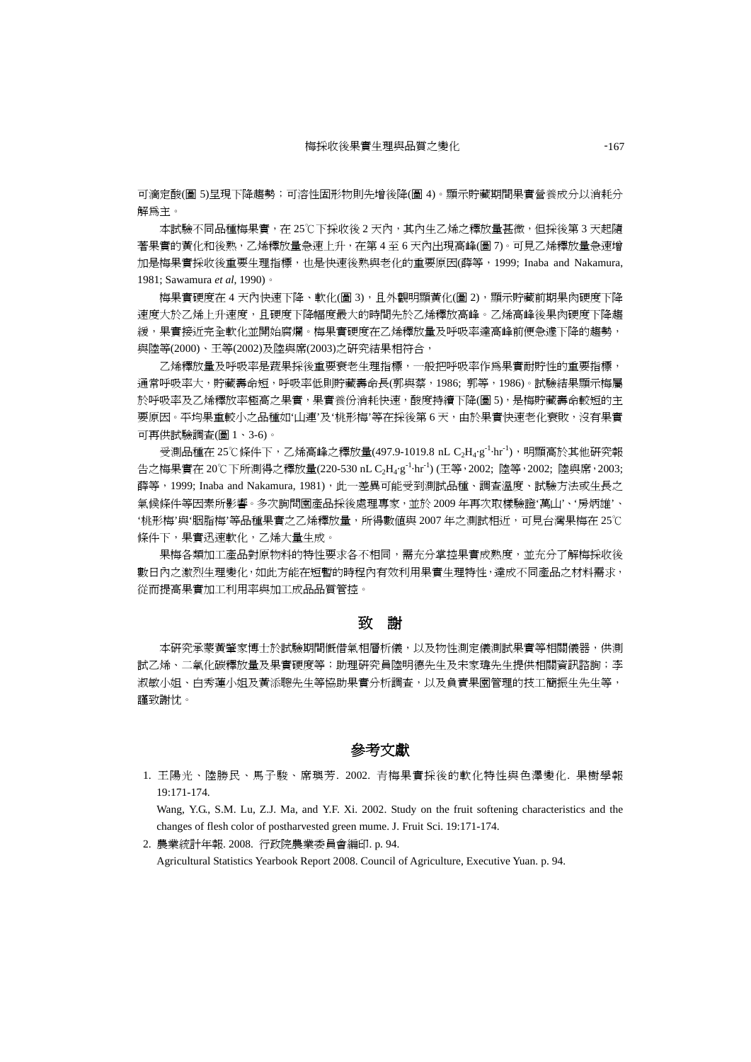可滴定酸(圖 5)呈現下降趨勢;可溶性固形物則先增後降(圖 4)。顯示貯藏期間果實營養成分以消耗分 解為主。

本試驗不同品種梅果實,在 25℃下採收後 2 天內,其內生乙烯之釋放量甚微,但採後第 3 天起隨 著果實的黃化和後熟,乙烯釋放量急速上升,在第 4 至 6 天內出現高峰(圖 7)。可見乙烯釋放量急速增 加是梅果實採收後重要生理指標,也是快速後熟與老化的重要原因(薛等,1999; Inaba and Nakamura, 1981; Sawamura *et al*, 1990)。

梅果實硬度在 4 天內快速下降、軟化(圖 3), 且外觀明顯黃化(圖 2), 顯示貯藏前期果肉硬度下降 速度大於乙烯上升速度,且硬度下降幅度最大的時間先於乙烯釋放高峰。乙烯高峰後果肉硬度下降趨 緩,果實接近完全軟化並開始腐爛。梅果實硬度在乙烯釋放量及呼吸率達高峰前便急遽下降的趨勢, 與陸等(2000)、王等(2002)及陸與席(2003)之研究結果相符合,

乙烯釋放量及呼吸率是蔬果採後重要衰老生理指標,一般把呼吸率作為果實耐貯性的重要指標, 通常呼吸率大,貯藏壽命短,呼吸率低則貯藏壽命長(郭與蔡,1986; 郭等,1986)。試驗結果顯示梅屬 於呼吸率及乙烯釋放率極高之果實,果實養份消耗快速,酸度持續下降(圖 5),是梅貯藏壽命較短的主 要原因。平均果重較小之品種如'山連'及'桃形梅'等在採後第6天,由於果實快速老化衰敗,沒有果實 可再供試驗調查(圖 1、3-6)。

受測品種在 25℃條件下,乙烯高峰之釋放量(497.9-1019.8 nL C<sub>2</sub>H<sub>4</sub>·g<sup>-1</sup>·hr<sup>-1</sup>),明顯高於其他研究報 告之梅果實在 20℃下所測得之釋放量(220-530 nL C<sub>2</sub>H<sub>4</sub>·g<sup>-1</sup>·hr<sup>-1</sup>) (王等, 2002; 陸等, 2002; 陸與席, 2003; 薛等, 1999; Inaba and Nakamura, 1981),此一差異可能受到測試品種、調查溫度、試驗方法或生長之 氣候條件等因素所影響。多次詢問園產品採後處理專家,並於 2009 年再次取樣驗證'萬山'、'房炳雄'、 '桃形梅'與'胭脂梅'等品種果實之乙烯釋放量,所得數值與 2007 年之測試相近,可見台灣果梅在 25℃ 條件下,果實迅速軟化,乙烯大量生成。

果梅各類加工產品對原物料的特性要求各不相同,需充分掌控果實成熟度,並充分了解梅採收後 數日內之激烈生理變化,如此方能在短暫的時程內有效利用果實生理特性,達成不同產品之材料需求, 從而提高果實加工利用率與加工成品品質管控。

## 致謝

本研究承蒙黃肇家博士於試驗期間慨借氣相層析儀,以及物性測定儀測試果實等相關儀器,供測 試乙烯、二氧化碳釋放量及果實硬度等;助理研究員陸明德先生及宋家瑋先生提供相關資訊諮詢;李 淑敏小姐、白秀蓮小姐及黃添聰先生等協助果實分析調查,以及負責果園管理的技工簡振生先生等, 謹致謝忱。

## 參考文獻

1. 王陽光、陸勝民、馬子駿、席璵芳. 2002. 青梅果實採後的軟化特性與色澤變化. 果樹學報 19:171-174.

Wang, Y.G., S.M. Lu, Z.J. Ma, and Y.F. Xi. 2002. Study on the fruit softening characteristics and the changes of flesh color of postharvested green mume. J. Fruit Sci. 19:171-174.

2. 農業統計年報. 2008. 行政院農業委員會編印. p. 94. Agricultural Statistics Yearbook Report 2008. Council of Agriculture, Executive Yuan. p. 94.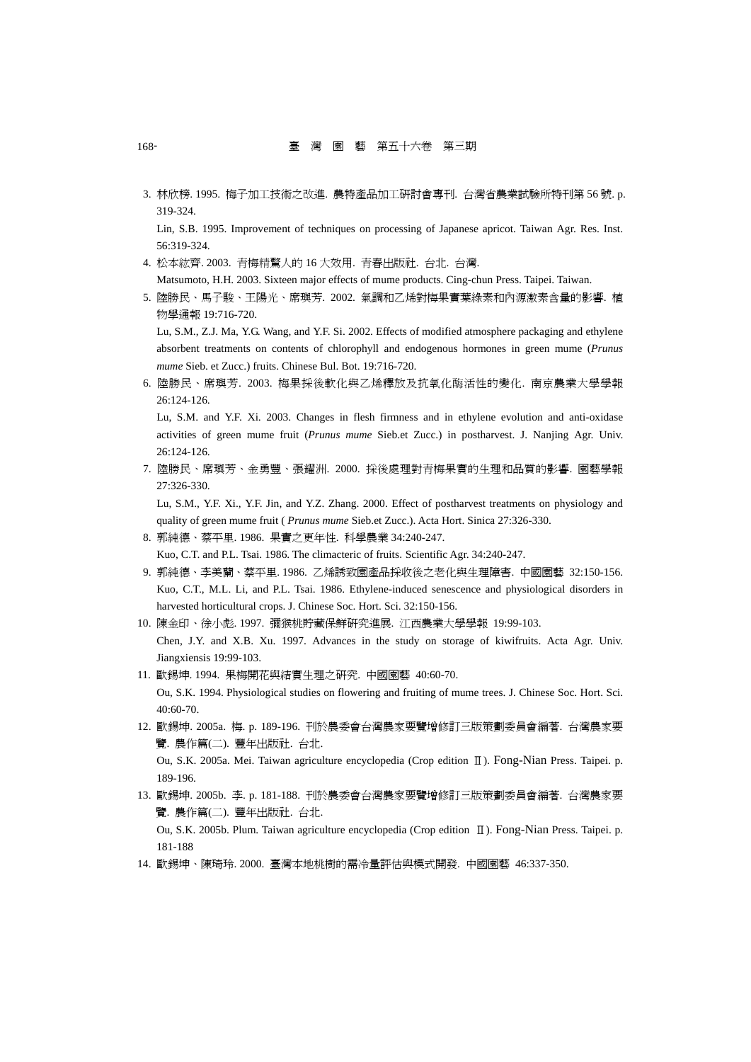3. 林欣榜. 1995. 梅子加工技術之改進. 農特產品加工研討會專刊. 台灣省農業試驗所特刊第 56 號. p. 319-324.

Lin, S.B. 1995. Improvement of techniques on processing of Japanese apricot. Taiwan Agr. Res. Inst. 56:319-324.

- 4. 松本紘齊. 2003. 青梅精驚人的 16 大效用. 青春出版社. 台北. 台灣. Matsumoto, H.H. 2003. Sixteen major effects of mume products. Cing-chun Press. Taipei. Taiwan.
- 5. 陸勝民、馬子駿、王陽光、席璵芳. 2002. 氣調和乙烯對梅果實葉綠素和內源激素含量的影響. 植 物學通報 19:716-720.

Lu, S.M., Z.J. Ma, Y.G. Wang, and Y.F. Si. 2002. Effects of modified atmosphere packaging and ethylene absorbent treatments on contents of chlorophyll and endogenous hormones in green mume (*Prunus mume* Sieb. et Zucc.) fruits. Chinese Bul. Bot. 19:716-720.

6. 陸勝民、席璵芳. 2003. 梅果採後軟化與乙烯釋放及抗氧化酶活性的變化. 南京農業大學學報 26:124-126.

Lu, S.M. and Y.F. Xi. 2003. Changes in flesh firmness and in ethylene evolution and anti-oxidase activities of green mume fruit (*Prunus mume* Sieb.et Zucc.) in postharvest. J. Nanjing Agr. Univ. 26:124-126.

7. 陸勝民、席璵芳、金勇豐、張耀洲. 2000. 採後處理對青梅果實的生理和品質的影響. 園藝學報 27:326-330.

Lu, S.M., Y.F. Xi., Y.F. Jin, and Y.Z. Zhang. 2000. Effect of postharvest treatments on physiology and quality of green mume fruit ( *Prunus mume* Sieb.et Zucc.). Acta Hort. Sinica 27:326-330.

8. 郭純德、蔡平里. 1986. 果實之更年性. 科學農業 34:240-247.

Kuo, C.T. and P.L. Tsai. 1986. The climacteric of fruits. Scientific Agr. 34:240-247.

- 9. 郭純德、李美蘭、蔡平里. 1986. 乙烯誘致園產品採收後之老化與生理障害. 中國園藝 32:150-156. Kuo, C.T., M.L. Li, and P.L. Tsai. 1986. Ethylene-induced senescence and physiological disorders in harvested horticultural crops. J. Chinese Soc. Hort. Sci. 32:150-156.
- 10. 陳金印、徐小彪. 1997. 彌猴桃貯藏保鮮研究進展. 江西農業大學學報 19:99-103.

Chen, J.Y. and X.B. Xu. 1997. Advances in the study on storage of kiwifruits. Acta Agr. Univ. Jiangxiensis 19:99-103.

- 11. 歐錫坤. 1994. 果梅開花與結實生理之研究. 中國園藝 40:60-70. Ou, S.K. 1994. Physiological studies on flowering and fruiting of mume trees. J. Chinese Soc. Hort. Sci. 40:60-70.
- 12. 歐錫坤. 2005a. 梅. p. 189-196. 刊於農委會台灣農家要覽增修訂三版策劃委員會編著. 台灣農家要 覽. 農作篇(二). 豐年出版社. 台北.

Ou, S.K. 2005a. Mei. Taiwan agriculture encyclopedia (Crop edition Ⅱ). Fong-Nian Press. Taipei. p. 189-196.

13. 歐錫坤. 2005b. 李. p. 181-188. 刊於農委會台灣農家要覽增修訂三版策劃委員會編著. 台灣農家要 覽. 農作篇(二). 豐年出版社. 台北.

Ou, S.K. 2005b. Plum. Taiwan agriculture encyclopedia (Crop edition Ⅱ). Fong-Nian Press. Taipei. p. 181-188

14. 歐錫坤、陳琦玲. 2000. 臺灣本地桃樹的需冷量評估與模式開發. 中國園藝 46:337-350.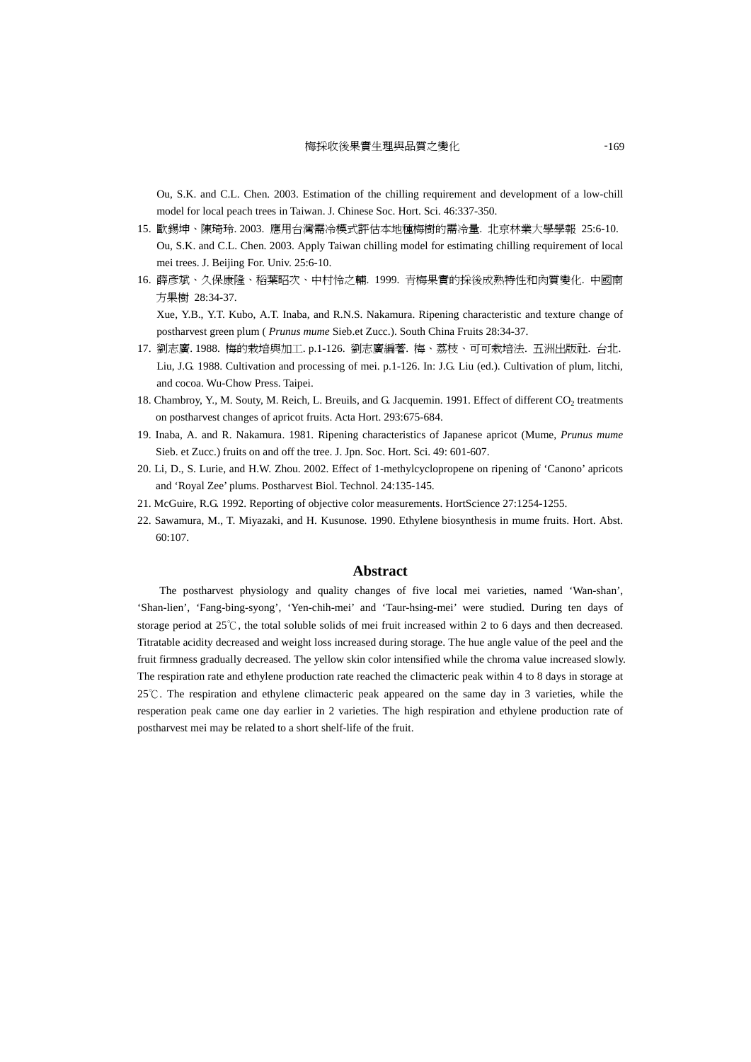Ou, S.K. and C.L. Chen. 2003. Estimation of the chilling requirement and development of a low-chill model for local peach trees in Taiwan. J. Chinese Soc. Hort. Sci. 46:337-350.

- 15. 歐錫坤、陳琦玲. 2003. 應用台灣需冷模式評估本地種梅樹的需冷量. 北京林業大學學報 25:6-10. Ou, S.K. and C.L. Chen. 2003. Apply Taiwan chilling model for estimating chilling requirement of local mei trees. J. Beijing For. Univ. 25:6-10.
- 16. 薛彥斌、久保康隆、稻葉昭次、中村怜之輔. 1999. 青梅果實的採後成熟特性和肉質變化. 中國南 方果樹 28:34-37. Xue, Y.B., Y.T. Kubo, A.T. Inaba, and R.N.S. Nakamura. Ripening characteristic and texture change of

postharvest green plum ( *Prunus mume* Sieb.et Zucc.). South China Fruits 28:34-37.

- 17. 劉志廣. 1988. 梅的栽培與加工. p.1-126. 劉志廣編著. 梅、荔枝、可可栽培法. 五洲出版社. 台北. Liu, J.G. 1988. Cultivation and processing of mei. p.1-126. In: J.G. Liu (ed.). Cultivation of plum, litchi, and cocoa. Wu-Chow Press. Taipei.
- 18. Chambroy, Y., M. Souty, M. Reich, L. Breuils, and G. Jacquemin. 1991. Effect of different CO<sub>2</sub> treatments on postharvest changes of apricot fruits. Acta Hort. 293:675-684.
- 19. Inaba, A. and R. Nakamura. 1981. Ripening characteristics of Japanese apricot (Mume, *Prunus mume* Sieb. et Zucc.) fruits on and off the tree. J. Jpn. Soc. Hort. Sci. 49: 601-607.
- 20. Li, D., S. Lurie, and H.W. Zhou. 2002. Effect of 1-methylcyclopropene on ripening of 'Canono' apricots and 'Royal Zee' plums. Postharvest Biol. Technol. 24:135-145.
- 21. McGuire, R.G. 1992. Reporting of objective color measurements. HortScience 27:1254-1255.
- 22. Sawamura, M., T. Miyazaki, and H. Kusunose. 1990. Ethylene biosynthesis in mume fruits. Hort. Abst. 60:107.

### **Abstract**

The postharvest physiology and quality changes of five local mei varieties, named 'Wan-shan', 'Shan-lien', 'Fang-bing-syong', 'Yen-chih-mei' and 'Taur-hsing-mei' were studied. During ten days of storage period at  $25^{\circ}$ , the total soluble solids of mei fruit increased within 2 to 6 days and then decreased. Titratable acidity decreased and weight loss increased during storage. The hue angle value of the peel and the fruit firmness gradually decreased. The yellow skin color intensified while the chroma value increased slowly. The respiration rate and ethylene production rate reached the climacteric peak within 4 to 8 days in storage at 25 °C. The respiration and ethylene climacteric peak appeared on the same day in 3 varieties, while the resperation peak came one day earlier in 2 varieties. The high respiration and ethylene production rate of postharvest mei may be related to a short shelf-life of the fruit.